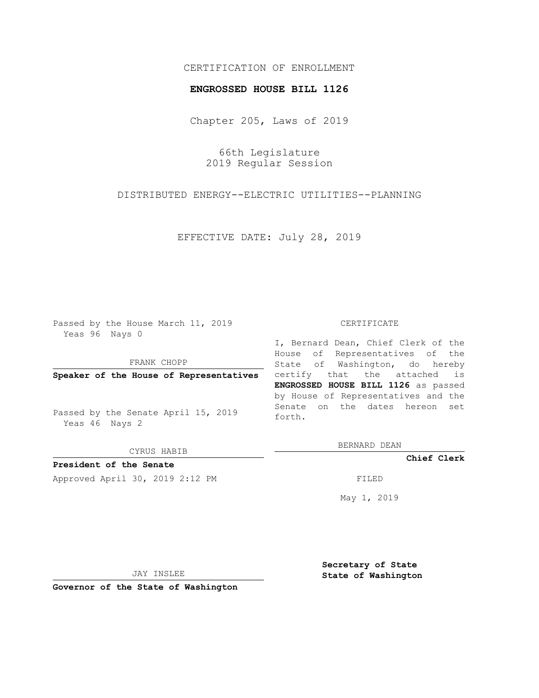## CERTIFICATION OF ENROLLMENT

## **ENGROSSED HOUSE BILL 1126**

Chapter 205, Laws of 2019

66th Legislature 2019 Regular Session

DISTRIBUTED ENERGY--ELECTRIC UTILITIES--PLANNING

EFFECTIVE DATE: July 28, 2019

Passed by the House March 11, 2019 Yeas 96 Nays 0

FRANK CHOPP

**Speaker of the House of Representatives**

Passed by the Senate April 15, 2019 Yeas 46 Nays 2

CYRUS HABIB

**President of the Senate** Approved April 30, 2019 2:12 PM FILED

## CERTIFICATE

I, Bernard Dean, Chief Clerk of the House of Representatives of the State of Washington, do hereby certify that the attached is **ENGROSSED HOUSE BILL 1126** as passed by House of Representatives and the Senate on the dates hereon set forth.

BERNARD DEAN

**Chief Clerk**

May 1, 2019

JAY INSLEE

**Governor of the State of Washington**

**Secretary of State State of Washington**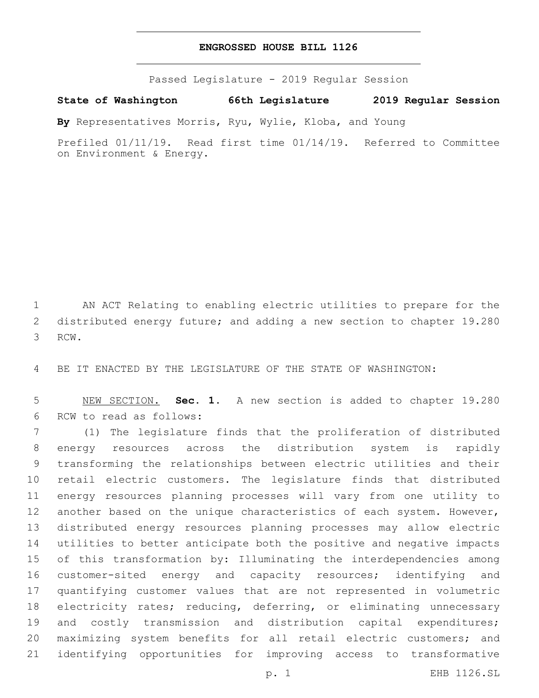## **ENGROSSED HOUSE BILL 1126**

Passed Legislature - 2019 Regular Session

**State of Washington 66th Legislature 2019 Regular Session**

**By** Representatives Morris, Ryu, Wylie, Kloba, and Young

Prefiled 01/11/19. Read first time 01/14/19. Referred to Committee on Environment & Energy.

 AN ACT Relating to enabling electric utilities to prepare for the distributed energy future; and adding a new section to chapter 19.280 3 RCW.

BE IT ENACTED BY THE LEGISLATURE OF THE STATE OF WASHINGTON:

 NEW SECTION. **Sec. 1.** A new section is added to chapter 19.280 6 RCW to read as follows:

 (1) The legislature finds that the proliferation of distributed energy resources across the distribution system is rapidly transforming the relationships between electric utilities and their retail electric customers. The legislature finds that distributed energy resources planning processes will vary from one utility to 12 another based on the unique characteristics of each system. However, distributed energy resources planning processes may allow electric utilities to better anticipate both the positive and negative impacts of this transformation by: Illuminating the interdependencies among customer-sited energy and capacity resources; identifying and quantifying customer values that are not represented in volumetric electricity rates; reducing, deferring, or eliminating unnecessary 19 and costly transmission and distribution capital expenditures; maximizing system benefits for all retail electric customers; and identifying opportunities for improving access to transformative

p. 1 EHB 1126.SL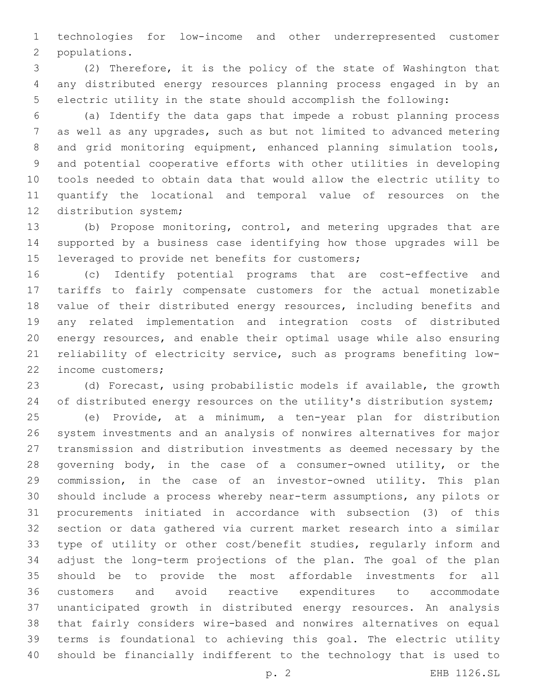technologies for low-income and other underrepresented customer 2 populations.

 (2) Therefore, it is the policy of the state of Washington that any distributed energy resources planning process engaged in by an electric utility in the state should accomplish the following:

 (a) Identify the data gaps that impede a robust planning process as well as any upgrades, such as but not limited to advanced metering 8 and grid monitoring equipment, enhanced planning simulation tools, and potential cooperative efforts with other utilities in developing tools needed to obtain data that would allow the electric utility to quantify the locational and temporal value of resources on the 12 distribution system;

 (b) Propose monitoring, control, and metering upgrades that are supported by a business case identifying how those upgrades will be 15 leveraged to provide net benefits for customers;

 (c) Identify potential programs that are cost-effective and tariffs to fairly compensate customers for the actual monetizable value of their distributed energy resources, including benefits and any related implementation and integration costs of distributed energy resources, and enable their optimal usage while also ensuring reliability of electricity service, such as programs benefiting low-22 income customers;

 (d) Forecast, using probabilistic models if available, the growth 24 of distributed energy resources on the utility's distribution system;

 (e) Provide, at a minimum, a ten-year plan for distribution system investments and an analysis of nonwires alternatives for major transmission and distribution investments as deemed necessary by the governing body, in the case of a consumer-owned utility, or the commission, in the case of an investor-owned utility. This plan should include a process whereby near-term assumptions, any pilots or procurements initiated in accordance with subsection (3) of this section or data gathered via current market research into a similar type of utility or other cost/benefit studies, regularly inform and adjust the long-term projections of the plan. The goal of the plan should be to provide the most affordable investments for all customers and avoid reactive expenditures to accommodate unanticipated growth in distributed energy resources. An analysis that fairly considers wire-based and nonwires alternatives on equal terms is foundational to achieving this goal. The electric utility should be financially indifferent to the technology that is used to

p. 2 EHB 1126.SL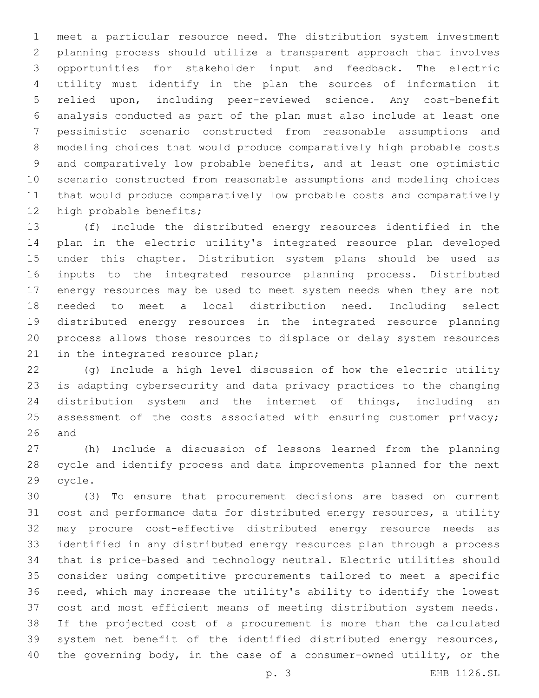meet a particular resource need. The distribution system investment planning process should utilize a transparent approach that involves opportunities for stakeholder input and feedback. The electric utility must identify in the plan the sources of information it relied upon, including peer-reviewed science. Any cost-benefit analysis conducted as part of the plan must also include at least one pessimistic scenario constructed from reasonable assumptions and modeling choices that would produce comparatively high probable costs and comparatively low probable benefits, and at least one optimistic scenario constructed from reasonable assumptions and modeling choices that would produce comparatively low probable costs and comparatively 12 high probable benefits;

 (f) Include the distributed energy resources identified in the plan in the electric utility's integrated resource plan developed under this chapter. Distribution system plans should be used as inputs to the integrated resource planning process. Distributed energy resources may be used to meet system needs when they are not needed to meet a local distribution need. Including select distributed energy resources in the integrated resource planning process allows those resources to displace or delay system resources 21 in the integrated resource plan;

 (g) Include a high level discussion of how the electric utility is adapting cybersecurity and data privacy practices to the changing distribution system and the internet of things, including an 25 assessment of the costs associated with ensuring customer privacy; and

 (h) Include a discussion of lessons learned from the planning cycle and identify process and data improvements planned for the next 29 cycle.

 (3) To ensure that procurement decisions are based on current cost and performance data for distributed energy resources, a utility may procure cost-effective distributed energy resource needs as identified in any distributed energy resources plan through a process that is price-based and technology neutral. Electric utilities should consider using competitive procurements tailored to meet a specific need, which may increase the utility's ability to identify the lowest cost and most efficient means of meeting distribution system needs. If the projected cost of a procurement is more than the calculated system net benefit of the identified distributed energy resources, the governing body, in the case of a consumer-owned utility, or the

p. 3 EHB 1126.SL